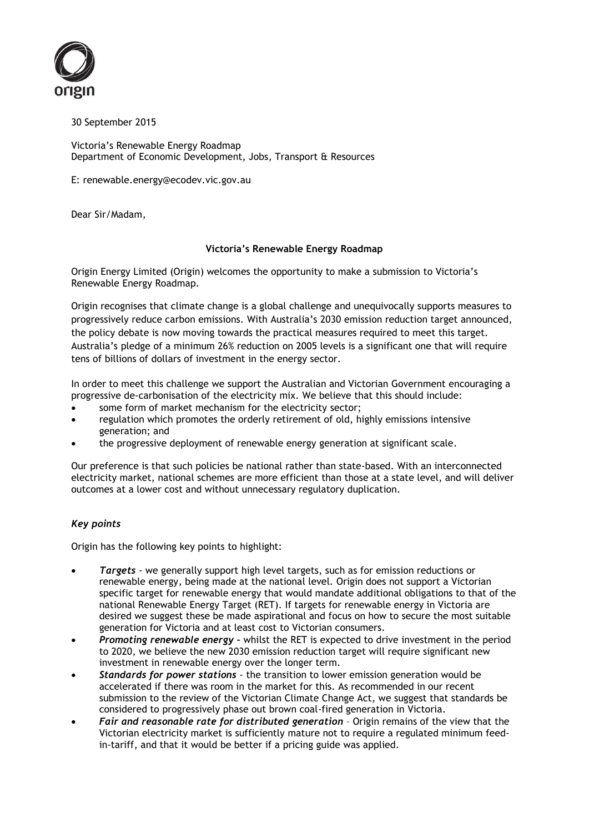

30 September 2015

Victoria's Renewable Energy Roadmap Department of Economic Development, Jobs, Transport & Resources

E: renewable.energy@ecodev.vic.gov.au

Dear Sir/Madam,

## **Victoria's Renewable Energy Roadmap**

Origin Energy Limited (Origin) welcomes the opportunity to make a submission to Victoria's Renewable Energy Roadmap.

Origin recognises that climate change is a global challenge and unequivocally supports measures to progressively reduce carbon emissions. With Australia's 2030 emission reduction target announced, the policy debate is now moving towards the practical measures required to meet this target. Australia's pledge of a minimum 26% reduction on 2005 levels is a significant one that will require tens of billions of dollars of investment in the energy sector.

In order to meet this challenge we support the Australian and Victorian Government encouraging a progressive de-carbonisation of the electricity mix. We believe that this should include:

- some form of market mechanism for the electricity sector;
- regulation which promotes the orderly retirement of old, highly emissions intensive generation; and
- the progressive deployment of renewable energy generation at significant scale.

Our preference is that such policies be national rather than state-based. With an interconnected electricity market, national schemes are more efficient than those at a state level, and will deliver outcomes at a lower cost and without unnecessary regulatory duplication.

# *Key points*

Origin has the following key points to highlight:

- *Targets*  we generally support high level targets, such as for emission reductions or renewable energy, being made at the national level. Origin does not support a Victorian specific target for renewable energy that would mandate additional obligations to that of the national Renewable Energy Target (RET). If targets for renewable energy in Victoria are desired we suggest these be made aspirational and focus on how to secure the most suitable generation for Victoria and at least cost to Victorian consumers.
- *Promoting renewable energy –* whilst the RET is expected to drive investment in the period to 2020, we believe the new 2030 emission reduction target will require significant new investment in renewable energy over the longer term.
- *Standards for power stations* the transition to lower emission generation would be accelerated if there was room in the market for this. As recommended in our recent submission to the review of the Victorian Climate Change Act, we suggest that standards be considered to progressively phase out brown coal-fired generation in Victoria.
- *Fair and reasonable rate for distributed generation* Origin remains of the view that the Victorian electricity market is sufficiently mature not to require a regulated minimum feedin-tariff, and that it would be better if a pricing guide was applied.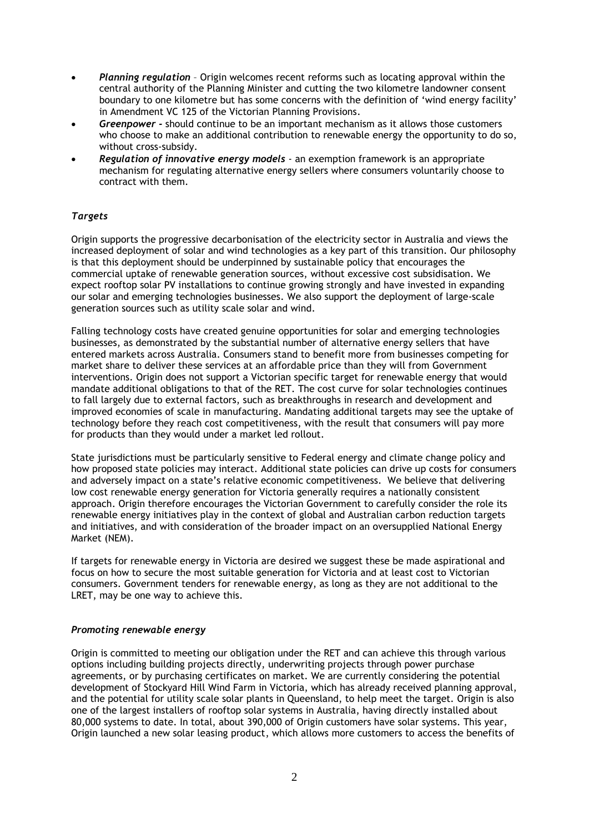- *Planning regulation* Origin welcomes recent reforms such as locating approval within the central authority of the Planning Minister and cutting the two kilometre landowner consent boundary to one kilometre but has some concerns with the definition of 'wind energy facility' in Amendment VC 125 of the Victorian Planning Provisions.
- *Greenpower -* should continue to be an important mechanism as it allows those customers who choose to make an additional contribution to renewable energy the opportunity to do so, without cross-subsidy.
- *Regulation of innovative energy models* an exemption framework is an appropriate mechanism for regulating alternative energy sellers where consumers voluntarily choose to contract with them.

# *Targets*

Origin supports the progressive decarbonisation of the electricity sector in Australia and views the increased deployment of solar and wind technologies as a key part of this transition. Our philosophy is that this deployment should be underpinned by sustainable policy that encourages the commercial uptake of renewable generation sources, without excessive cost subsidisation. We expect rooftop solar PV installations to continue growing strongly and have invested in expanding our solar and emerging technologies businesses. We also support the deployment of large-scale generation sources such as utility scale solar and wind.

Falling technology costs have created genuine opportunities for solar and emerging technologies businesses, as demonstrated by the substantial number of alternative energy sellers that have entered markets across Australia. Consumers stand to benefit more from businesses competing for market share to deliver these services at an affordable price than they will from Government interventions. Origin does not support a Victorian specific target for renewable energy that would mandate additional obligations to that of the RET. The cost curve for solar technologies continues to fall largely due to external factors, such as breakthroughs in research and development and improved economies of scale in manufacturing. Mandating additional targets may see the uptake of technology before they reach cost competitiveness, with the result that consumers will pay more for products than they would under a market led rollout.

State jurisdictions must be particularly sensitive to Federal energy and climate change policy and how proposed state policies may interact. Additional state policies can drive up costs for consumers and adversely impact on a state's relative economic competitiveness. We believe that delivering low cost renewable energy generation for Victoria generally requires a nationally consistent approach. Origin therefore encourages the Victorian Government to carefully consider the role its renewable energy initiatives play in the context of global and Australian carbon reduction targets and initiatives, and with consideration of the broader impact on an oversupplied National Energy Market (NEM).

If targets for renewable energy in Victoria are desired we suggest these be made aspirational and focus on how to secure the most suitable generation for Victoria and at least cost to Victorian consumers. Government tenders for renewable energy, as long as they are not additional to the LRET, may be one way to achieve this.

#### *Promoting renewable energy*

Origin is committed to meeting our obligation under the RET and can achieve this through various options including building projects directly, underwriting projects through power purchase agreements, or by purchasing certificates on market. We are currently considering the potential development of Stockyard Hill Wind Farm in Victoria, which has already received planning approval, and the potential for utility scale solar plants in Queensland, to help meet the target. Origin is also one of the largest installers of rooftop solar systems in Australia, having directly installed about 80,000 systems to date. In total, about 390,000 of Origin customers have solar systems. This year, Origin launched a new solar leasing product, which allows more customers to access the benefits of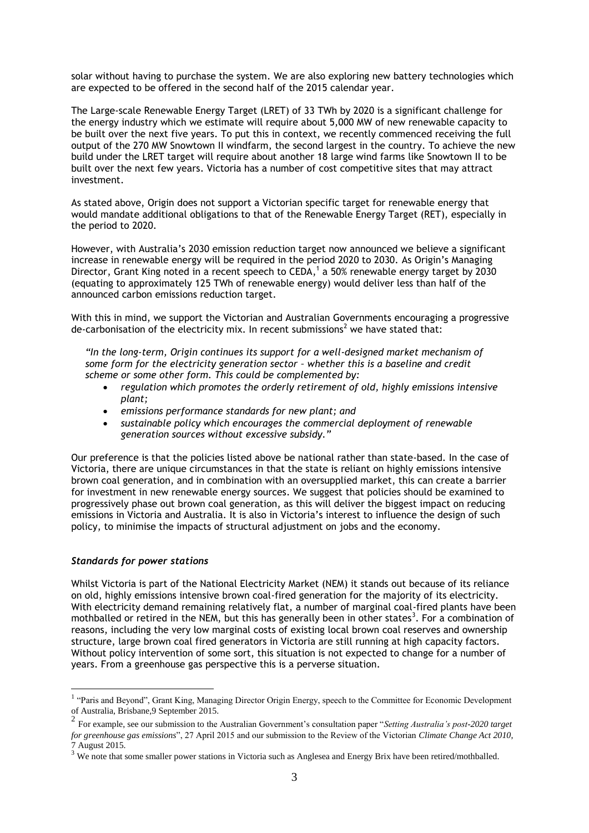solar without having to purchase the system. We are also exploring new battery technologies which are expected to be offered in the second half of the 2015 calendar year.

The Large-scale Renewable Energy Target (LRET) of 33 TWh by 2020 is a significant challenge for the energy industry which we estimate will require about 5,000 MW of new renewable capacity to be built over the next five years. To put this in context, we recently commenced receiving the full output of the 270 MW Snowtown II windfarm, the second largest in the country. To achieve the new build under the LRET target will require about another 18 large wind farms like Snowtown II to be built over the next few years. Victoria has a number of cost competitive sites that may attract investment.

As stated above, Origin does not support a Victorian specific target for renewable energy that would mandate additional obligations to that of the Renewable Energy Target (RET), especially in the period to 2020.

However, with Australia's 2030 emission reduction target now announced we believe a significant increase in renewable energy will be required in the period 2020 to 2030. As Origin's Managing Director, Grant King noted in a recent speech to CEDA,<sup>1</sup> a 50% renewable energy target by 2030 (equating to approximately 125 TWh of renewable energy) would deliver less than half of the announced carbon emissions reduction target.

With this in mind, we support the Victorian and Australian Governments encouraging a progressive de-carbonisation of the electricity mix. In recent submissions<sup>2</sup> we have stated that:

*"In the long-term, Origin continues its support for a well-designed market mechanism of some form for the electricity generation sector – whether this is a baseline and credit scheme or some other form. This could be complemented by:*

- *regulation which promotes the orderly retirement of old, highly emissions intensive plant;*
- *emissions performance standards for new plant; and*
- *sustainable policy which encourages the commercial deployment of renewable generation sources without excessive subsidy."*

Our preference is that the policies listed above be national rather than state-based. In the case of Victoria, there are unique circumstances in that the state is reliant on highly emissions intensive brown coal generation, and in combination with an oversupplied market, this can create a barrier for investment in new renewable energy sources. We suggest that policies should be examined to progressively phase out brown coal generation, as this will deliver the biggest impact on reducing emissions in Victoria and Australia. It is also in Victoria's interest to influence the design of such policy, to minimise the impacts of structural adjustment on jobs and the economy.

#### *Standards for power stations*

Whilst Victoria is part of the National Electricity Market (NEM) it stands out because of its reliance on old, highly emissions intensive brown coal-fired generation for the majority of its electricity. With electricity demand remaining relatively flat, a number of marginal coal-fired plants have been mothballed or retired in the NEM, but this has generally been in other states<sup>3</sup>. For a combination of reasons, including the very low marginal costs of existing local brown coal reserves and ownership structure, large brown coal fired generators in Victoria are still running at high capacity factors. Without policy intervention of some sort, this situation is not expected to change for a number of years. From a greenhouse gas perspective this is a perverse situation.

Tarright and Beyond", Grant King, Managing Director Origin Energy, speech to the Committee for Economic Development of Australia, Brisbane,9 September 2015.

<sup>2</sup> For example, see our submission to the Australian Government's consultation paper "*Setting Australia's post-2020 target for greenhouse gas emissions*", 27 April 2015 and our submission to the Review of the Victorian *Climate Change Act 2010*, 7 August 2015.

<sup>3</sup> We note that some smaller power stations in Victoria such as Anglesea and Energy Brix have been retired/mothballed.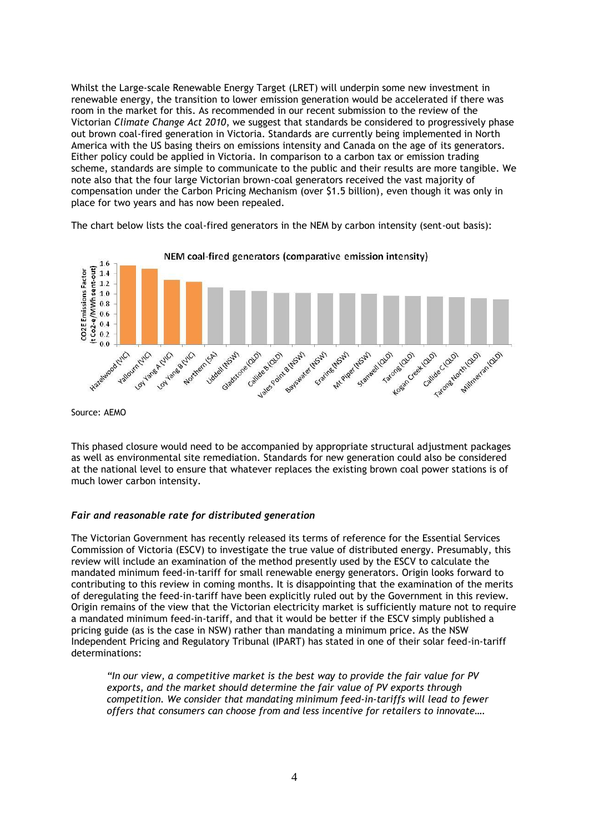Whilst the Large-scale Renewable Energy Target (LRET) will underpin some new investment in renewable energy, the transition to lower emission generation would be accelerated if there was room in the market for this. As recommended in our recent submission to the review of the Victorian *Climate Change Act 2010*, we suggest that standards be considered to progressively phase out brown coal-fired generation in Victoria. Standards are currently being implemented in North America with the US basing theirs on emissions intensity and Canada on the age of its generators. Either policy could be applied in Victoria. In comparison to a carbon tax or emission trading scheme, standards are simple to communicate to the public and their results are more tangible. We note also that the four large Victorian brown-coal generators received the vast majority of compensation under the Carbon Pricing Mechanism (over \$1.5 billion), even though it was only in place for two years and has now been repealed.

The chart below lists the coal-fired generators in the NEM by carbon intensity (sent-out basis):



Source: AEMO

This phased closure would need to be accompanied by appropriate structural adjustment packages as well as environmental site remediation. Standards for new generation could also be considered at the national level to ensure that whatever replaces the existing brown coal power stations is of much lower carbon intensity.

# *Fair and reasonable rate for distributed generation*

The Victorian Government has recently released its terms of reference for the Essential Services Commission of Victoria (ESCV) to investigate the true value of distributed energy. Presumably, this review will include an examination of the method presently used by the ESCV to calculate the mandated minimum feed-in-tariff for small renewable energy generators. Origin looks forward to contributing to this review in coming months. It is disappointing that the examination of the merits of deregulating the feed-in-tariff have been explicitly ruled out by the Government in this review. Origin remains of the view that the Victorian electricity market is sufficiently mature not to require a mandated minimum feed-in-tariff, and that it would be better if the ESCV simply published a pricing guide (as is the case in NSW) rather than mandating a minimum price. As the NSW Independent Pricing and Regulatory Tribunal (IPART) has stated in one of their solar feed-in-tariff determinations:

*"In our view, a competitive market is the best way to provide the fair value for PV exports, and the market should determine the fair value of PV exports through competition. We consider that mandating minimum feed-in-tariffs will lead to fewer offers that consumers can choose from and less incentive for retailers to innovate….*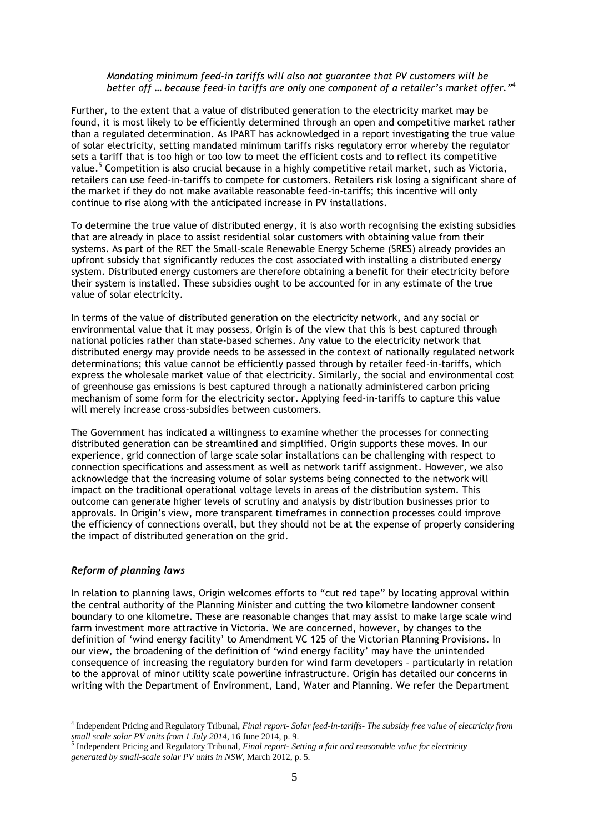### *Mandating minimum feed-in tariffs will also not guarantee that PV customers will be better off … because feed-in tariffs are only one component of a retailer's market offer."*<sup>4</sup>

Further, to the extent that a value of distributed generation to the electricity market may be found, it is most likely to be efficiently determined through an open and competitive market rather than a regulated determination. As IPART has acknowledged in a report investigating the true value of solar electricity, setting mandated minimum tariffs risks regulatory error whereby the regulator sets a tariff that is too high or too low to meet the efficient costs and to reflect its competitive value.<sup>5</sup> Competition is also crucial because in a highly competitive retail market, such as Victoria, retailers can use feed-in-tariffs to compete for customers. Retailers risk losing a significant share of the market if they do not make available reasonable feed-in-tariffs; this incentive will only continue to rise along with the anticipated increase in PV installations.

To determine the true value of distributed energy, it is also worth recognising the existing subsidies that are already in place to assist residential solar customers with obtaining value from their systems. As part of the RET the Small-scale Renewable Energy Scheme (SRES) already provides an upfront subsidy that significantly reduces the cost associated with installing a distributed energy system. Distributed energy customers are therefore obtaining a benefit for their electricity before their system is installed. These subsidies ought to be accounted for in any estimate of the true value of solar electricity.

In terms of the value of distributed generation on the electricity network, and any social or environmental value that it may possess, Origin is of the view that this is best captured through national policies rather than state-based schemes. Any value to the electricity network that distributed energy may provide needs to be assessed in the context of nationally regulated network determinations; this value cannot be efficiently passed through by retailer feed-in-tariffs, which express the wholesale market value of that electricity. Similarly, the social and environmental cost of greenhouse gas emissions is best captured through a nationally administered carbon pricing mechanism of some form for the electricity sector. Applying feed-in-tariffs to capture this value will merely increase cross-subsidies between customers.

The Government has indicated a willingness to examine whether the processes for connecting distributed generation can be streamlined and simplified. Origin supports these moves. In our experience, grid connection of large scale solar installations can be challenging with respect to connection specifications and assessment as well as network tariff assignment. However, we also acknowledge that the increasing volume of solar systems being connected to the network will impact on the traditional operational voltage levels in areas of the distribution system. This outcome can generate higher levels of scrutiny and analysis by distribution businesses prior to approvals. In Origin's view, more transparent timeframes in connection processes could improve the efficiency of connections overall, but they should not be at the expense of properly considering the impact of distributed generation on the grid.

# *Reform of planning laws*

<u>.</u>

In relation to planning laws, Origin welcomes efforts to "cut red tape" by locating approval within the central authority of the Planning Minister and cutting the two kilometre landowner consent boundary to one kilometre. These are reasonable changes that may assist to make large scale wind farm investment more attractive in Victoria. We are concerned, however, by changes to the definition of 'wind energy facility' to Amendment VC 125 of the Victorian Planning Provisions. In our view, the broadening of the definition of 'wind energy facility' may have the unintended consequence of increasing the regulatory burden for wind farm developers – particularly in relation to the approval of minor utility scale powerline infrastructure. Origin has detailed our concerns in writing with the Department of Environment, Land, Water and Planning. We refer the Department

<sup>4</sup> Independent Pricing and Regulatory Tribunal, *Final report- Solar feed-in-tariffs- The subsidy free value of electricity from small scale solar PV units from 1 July 2014*, 16 June 2014, p. 9.

<sup>5</sup> Independent Pricing and Regulatory Tribunal, *Final report- Setting a fair and reasonable value for electricity generated by small-scale solar PV units in NSW*, March 2012, p. 5.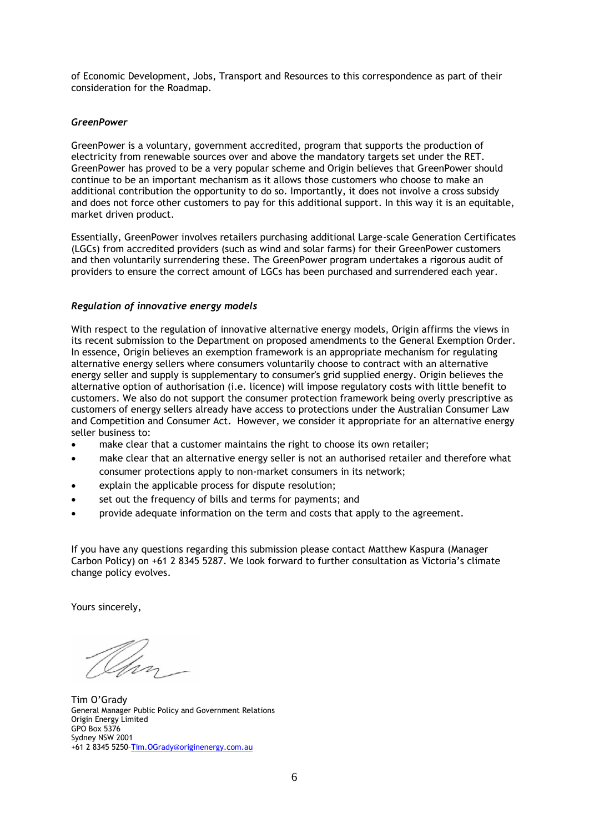of Economic Development, Jobs, Transport and Resources to this correspondence as part of their consideration for the Roadmap.

## *GreenPower*

GreenPower is a voluntary, government accredited, program that supports the production of electricity from renewable sources over and above the mandatory targets set under the RET. GreenPower has proved to be a very popular scheme and Origin believes that GreenPower should continue to be an important mechanism as it allows those customers who choose to make an additional contribution the opportunity to do so. Importantly, it does not involve a cross subsidy and does not force other customers to pay for this additional support. In this way it is an equitable, market driven product.

Essentially, GreenPower involves retailers purchasing additional Large-scale Generation Certificates (LGCs) from accredited providers (such as wind and solar farms) for their GreenPower customers and then voluntarily surrendering these. The GreenPower program undertakes a rigorous audit of providers to ensure the correct amount of LGCs has been purchased and surrendered each year.

## *Regulation of innovative energy models*

With respect to the regulation of innovative alternative energy models, Origin affirms the views in its recent submission to the Department on proposed amendments to the General Exemption Order. In essence, Origin believes an exemption framework is an appropriate mechanism for regulating alternative energy sellers where consumers voluntarily choose to contract with an alternative energy seller and supply is supplementary to consumer's grid supplied energy. Origin believes the alternative option of authorisation (i.e. licence) will impose regulatory costs with little benefit to customers. We also do not support the consumer protection framework being overly prescriptive as customers of energy sellers already have access to protections under the Australian Consumer Law and Competition and Consumer Act. However, we consider it appropriate for an alternative energy seller business to:

- make clear that a customer maintains the right to choose its own retailer;
- make clear that an alternative energy seller is not an authorised retailer and therefore what consumer protections apply to non-market consumers in its network;
- explain the applicable process for dispute resolution;
- set out the frequency of bills and terms for payments; and
- provide adequate information on the term and costs that apply to the agreement.

If you have any questions regarding this submission please contact Matthew Kaspura (Manager Carbon Policy) on +61 2 8345 5287. We look forward to further consultation as Victoria's climate change policy evolves.

Yours sincerely,

Tim O'Grady General Manager Public Policy and Government Relations Origin Energy Limited GPO Box 5376 Sydney NSW 2001 +61 2 8345 5250–[Tim.OGrady@originenergy.com.au](mailto:Tim.OGrady@originenergy.com.au)